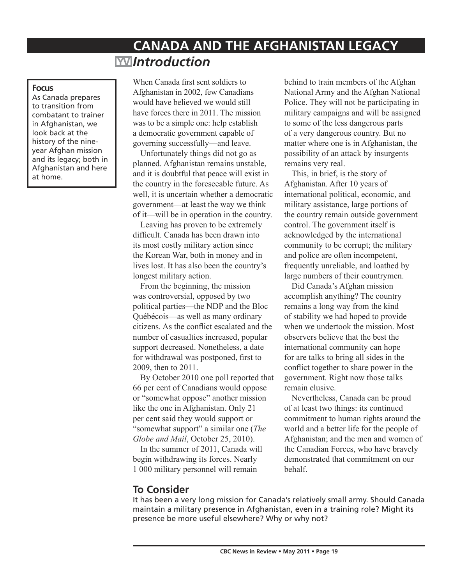# **CANADA AND THE AFGHANISTAN LEGACY**  *Introduction*

#### **Focus**

As Canada prepares to transition from combatant to trainer in Afghanistan, we look back at the history of the nineyear Afghan mission and its legacy; both in Afghanistan and here at home.

When Canada first sent soldiers to Afghanistan in 2002, few Canadians would have believed we would still have forces there in 2011. The mission was to be a simple one: help establish a democratic government capable of governing successfully—and leave.

Unfortunately things did not go as planned. Afghanistan remains unstable, and it is doubtful that peace will exist in the country in the foreseeable future. As well, it is uncertain whether a democratic government—at least the way we think of it—will be in operation in the country.

Leaving has proven to be extremely difficult. Canada has been drawn into its most costly military action since the Korean War, both in money and in lives lost. It has also been the country's longest military action.

From the beginning, the mission was controversial, opposed by two political parties—the NDP and the Bloc Québécois—as well as many ordinary citizens. As the conflict escalated and the number of casualties increased, popular support decreased. Nonetheless, a date for withdrawal was postponed, first to 2009, then to 2011.

By October 2010 one poll reported that 66 per cent of Canadians would oppose or "somewhat oppose" another mission like the one in Afghanistan. Only 21 per cent said they would support or "somewhat support" a similar one (*The Globe and Mail*, October 25, 2010).

In the summer of 2011, Canada will begin withdrawing its forces. Nearly 1 000 military personnel will remain

behind to train members of the Afghan National Army and the Afghan National Police. They will not be participating in military campaigns and will be assigned to some of the less dangerous parts of a very dangerous country. But no matter where one is in Afghanistan, the possibility of an attack by insurgents remains very real.

This, in brief, is the story of Afghanistan. After 10 years of international political, economic, and military assistance, large portions of the country remain outside government control. The government itself is acknowledged by the international community to be corrupt; the military and police are often incompetent, frequently unreliable, and loathed by large numbers of their countrymen.

Did Canada's Afghan mission accomplish anything? The country remains a long way from the kind of stability we had hoped to provide when we undertook the mission. Most observers believe that the best the international community can hope for are talks to bring all sides in the conflict together to share power in the government. Right now those talks remain elusive.

Nevertheless, Canada can be proud of at least two things: its continued commitment to human rights around the world and a better life for the people of Afghanistan; and the men and women of the Canadian Forces, who have bravely demonstrated that commitment on our behalf.

## **To Consider**

It has been a very long mission for Canada's relatively small army. Should Canada maintain a military presence in Afghanistan, even in a training role? Might its presence be more useful elsewhere? Why or why not?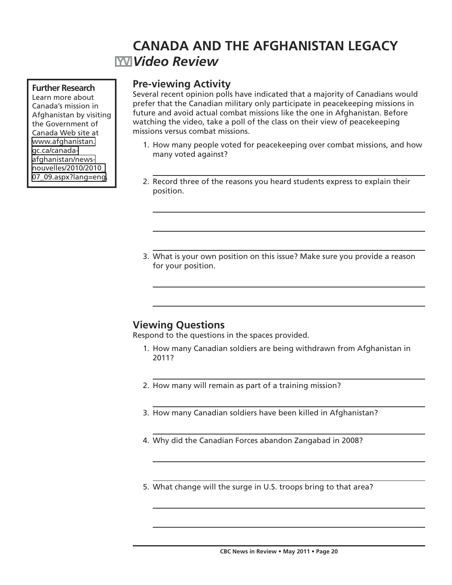## **CANADA AND THE AFGHANISTAN LEGACY** *Video Review*

### **Further Research**

Learn more about Canada's mission in Afghanistan by visiting the Government of Canada Web site at [www.afghanistan.](http://www.afghanistan.gc.ca/canada-afghanistan/news-nouvelles/2010/2010_07_09.aspx?lang=eng) [gc.ca/canada](http://www.afghanistan.gc.ca/canada-afghanistan/news-nouvelles/2010/2010_07_09.aspx?lang=eng)[afghanistan/news](http://www.afghanistan.gc.ca/canada-afghanistan/news-nouvelles/2010/2010_07_09.aspx?lang=eng)[nouvelles/2010/2010\\_](http://www.afghanistan.gc.ca/canada-afghanistan/news-nouvelles/2010/2010_07_09.aspx?lang=eng) [07\\_09.aspx?lang=eng](http://www.afghanistan.gc.ca/canada-afghanistan/news-nouvelles/2010/2010_07_09.aspx?lang=eng).

## **Pre-viewing Activity**

Several recent opinion polls have indicated that a majority of Canadians would prefer that the Canadian military only participate in peacekeeping missions in future and avoid actual combat missions like the one in Afghanistan. Before watching the video, take a poll of the class on their view of peacekeeping missions versus combat missions.

- 1. How many people voted for peacekeeping over combat missions, and how many voted against?
- 2. Record three of the reasons you heard students express to explain their position.
- 3. What is your own position on this issue? Make sure you provide a reason for your position.

## **Viewing Questions**

Respond to the questions in the spaces provided.

- 1. How many Canadian soldiers are being withdrawn from Afghanistan in 2011?
- 2. How many will remain as part of a training mission?
- 3. How many Canadian soldiers have been killed in Afghanistan?
- 4. Why did the Canadian Forces abandon Zangabad in 2008?
- 5. What change will the surge in U.S. troops bring to that area?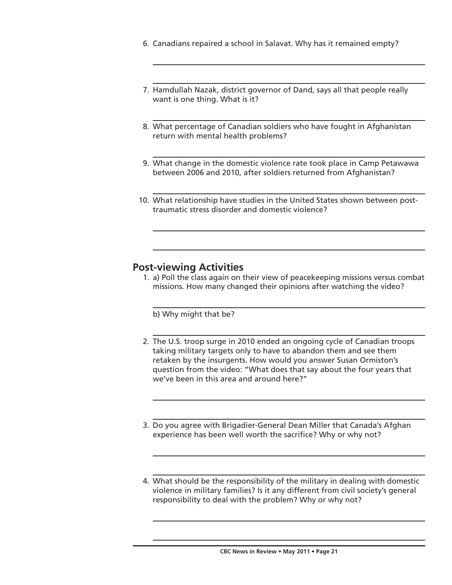- 6. Canadians repaired a school in Salavat. Why has it remained empty?
- 7. Hamdullah Nazak, district governor of Dand, says all that people really want is one thing. What is it?
- 8. What percentage of Canadian soldiers who have fought in Afghanistan return with mental health problems?
- 9. What change in the domestic violence rate took place in Camp Petawawa between 2006 and 2010, after soldiers returned from Afghanistan?
- 10. What relationship have studies in the United States shown between posttraumatic stress disorder and domestic violence?

## **Post-viewing Activities**

 1. a) Poll the class again on their view of peacekeeping missions versus combat missions. How many changed their opinions after watching the video?

b) Why might that be?

- 2. The U.S. troop surge in 2010 ended an ongoing cycle of Canadian troops taking military targets only to have to abandon them and see them retaken by the insurgents. How would you answer Susan Ormiston's question from the video: "What does that say about the four years that we've been in this area and around here?"
- 3. Do you agree with Brigadier-General Dean Miller that Canada's Afghan experience has been well worth the sacrifice? Why or why not?
- 4. What should be the responsibility of the military in dealing with domestic violence in military families? Is it any different from civil society's general responsibility to deal with the problem? Why or why not?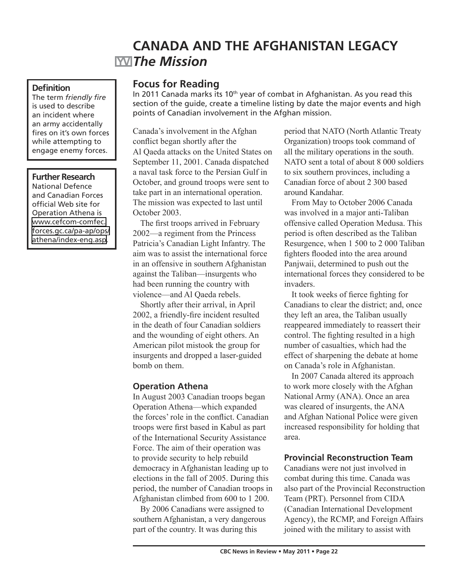## **CANADA AND THE AFGHANISTAN LEGACY** *The Mission*

#### **Definition**

The term *friendly fire*  is used to describe an incident where an army accidentally fires on it's own forces while attempting to engage enemy forces.

### **Further Research**

National Defence and Canadian Forces official Web site for Operation Athena is [www.cefcom-comfec.](http://www.cefcom-comfec.forces.gc.ca/pa-ap/ops/athena/index-eng.asp) [forces.gc.ca/pa-ap/ops/](http://www.cefcom-comfec.forces.gc.ca/pa-ap/ops/athena/index-eng.asp) [athena/index-eng.asp](http://www.cefcom-comfec.forces.gc.ca/pa-ap/ops/athena/index-eng.asp).

## **Focus for Reading**

In 2011 Canada marks its  $10<sup>th</sup>$  year of combat in Afghanistan. As you read this section of the guide, create a timeline listing by date the major events and high points of Canadian involvement in the Afghan mission.

Canada's involvement in the Afghan conflict began shortly after the Al Qaeda attacks on the United States on September 11, 2001. Canada dispatched a naval task force to the Persian Gulf in October, and ground troops were sent to take part in an international operation. The mission was expected to last until October 2003.

The first troops arrived in February 2002—a regiment from the Princess Patricia's Canadian Light Infantry. The aim was to assist the international force in an offensive in southern Afghanistan against the Taliban—insurgents who had been running the country with violence—and Al Qaeda rebels.

Shortly after their arrival, in April 2002, a friendly-fire incident resulted in the death of four Canadian soldiers and the wounding of eight others. An American pilot mistook the group for insurgents and dropped a laser-guided bomb on them.

## **Operation Athena**

In August 2003 Canadian troops began Operation Athena—which expanded the forces' role in the conflict. Canadian troops were first based in Kabul as part of the International Security Assistance Force. The aim of their operation was to provide security to help rebuild democracy in Afghanistan leading up to elections in the fall of 2005. During this period, the number of Canadian troops in Afghanistan climbed from 600 to 1 200.

By 2006 Canadians were assigned to southern Afghanistan, a very dangerous part of the country. It was during this

period that NATO (North Atlantic Treaty Organization) troops took command of all the military operations in the south. NATO sent a total of about 8 000 soldiers to six southern provinces, including a Canadian force of about 2 300 based around Kandahar.

From May to October 2006 Canada was involved in a major anti-Taliban offensive called Operation Medusa. This period is often described as the Taliban Resurgence, when 1 500 to 2 000 Taliban fighters flooded into the area around Panjwaii, determined to push out the international forces they considered to be invaders.

It took weeks of fierce fighting for Canadians to clear the district; and, once they left an area, the Taliban usually reappeared immediately to reassert their control. The fighting resulted in a high number of casualties, which had the effect of sharpening the debate at home on Canada's role in Afghanistan.

In 2007 Canada altered its approach to work more closely with the Afghan National Army (ANA). Once an area was cleared of insurgents, the ANA and Afghan National Police were given increased responsibility for holding that area.

### **Provincial Reconstruction Team**

Canadians were not just involved in combat during this time. Canada was also part of the Provincial Reconstruction Team (PRT). Personnel from CIDA (Canadian International Development Agency), the RCMP, and Foreign Affairs joined with the military to assist with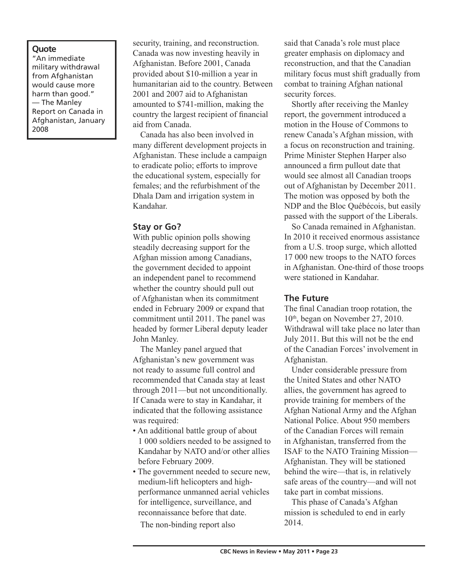### **Quote**

"An immediate military withdrawal from Afghanistan would cause more harm than good." — The Manley Report on Canada in Afghanistan, January 2008

security, training, and reconstruction. Canada was now investing heavily in Afghanistan. Before 2001, Canada provided about \$10-million a year in humanitarian aid to the country. Between 2001 and 2007 aid to Afghanistan amounted to \$741-million, making the country the largest recipient of financial aid from Canada.

Canada has also been involved in many different development projects in Afghanistan. These include a campaign to eradicate polio; efforts to improve the educational system, especially for females; and the refurbishment of the Dhala Dam and irrigation system in Kandahar.

### **Stay or Go?**

With public opinion polls showing steadily decreasing support for the Afghan mission among Canadians, the government decided to appoint an independent panel to recommend whether the country should pull out of Afghanistan when its commitment ended in February 2009 or expand that commitment until 2011. The panel was headed by former Liberal deputy leader John Manley.

The Manley panel argued that Afghanistan's new government was not ready to assume full control and recommended that Canada stay at least through 2011—but not unconditionally. If Canada were to stay in Kandahar, it indicated that the following assistance was required:

- An additional battle group of about 1 000 soldiers needed to be assigned to Kandahar by NATO and/or other allies before February 2009.
- The government needed to secure new, medium-lift helicopters and highperformance unmanned aerial vehicles for intelligence, surveillance, and reconnaissance before that date.

The non-binding report also

said that Canada's role must place greater emphasis on diplomacy and reconstruction, and that the Canadian military focus must shift gradually from combat to training Afghan national security forces.

Shortly after receiving the Manley report, the government introduced a motion in the House of Commons to renew Canada's Afghan mission, with a focus on reconstruction and training. Prime Minister Stephen Harper also announced a firm pullout date that would see almost all Canadian troops out of Afghanistan by December 2011. The motion was opposed by both the NDP and the Bloc Québécois, but easily passed with the support of the Liberals.

So Canada remained in Afghanistan. In 2010 it received enormous assistance from a U.S. troop surge, which allotted 17 000 new troops to the NATO forces in Afghanistan. One-third of those troops were stationed in Kandahar.

#### **The Future**

The final Canadian troop rotation, the 10<sup>th</sup>, began on November 27, 2010. Withdrawal will take place no later than July 2011. But this will not be the end of the Canadian Forces' involvement in Afghanistan.

Under considerable pressure from the United States and other NATO allies, the government has agreed to provide training for members of the Afghan National Army and the Afghan National Police. About 950 members of the Canadian Forces will remain in Afghanistan, transferred from the ISAF to the NATO Training Mission— Afghanistan. They will be stationed behind the wire—that is, in relatively safe areas of the country—and will not take part in combat missions.

This phase of Canada's Afghan mission is scheduled to end in early 2014.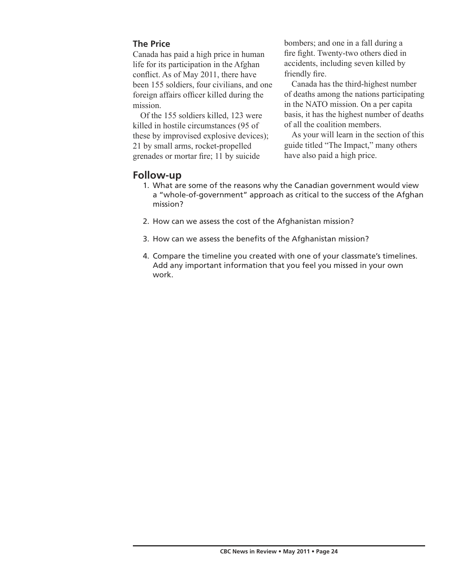## **The Price**

Canada has paid a high price in human life for its participation in the Afghan conflict. As of May 2011, there have been 155 soldiers, four civilians, and one foreign affairs officer killed during the mission.

Of the 155 soldiers killed, 123 were killed in hostile circumstances (95 of these by improvised explosive devices); 21 by small arms, rocket-propelled grenades or mortar fire; 11 by suicide

bombers; and one in a fall during a fire fight. Twenty-two others died in accidents, including seven killed by friendly fire.

Canada has the third-highest number of deaths among the nations participating in the NATO mission. On a per capita basis, it has the highest number of deaths of all the coalition members.

As your will learn in the section of this guide titled "The Impact," many others have also paid a high price.

## **Follow-up**

- 1. What are some of the reasons why the Canadian government would view a "whole-of-government" approach as critical to the success of the Afghan mission?
- 2. How can we assess the cost of the Afghanistan mission?
- 3. How can we assess the benefits of the Afghanistan mission?
- 4. Compare the timeline you created with one of your classmate's timelines. Add any important information that you feel you missed in your own work.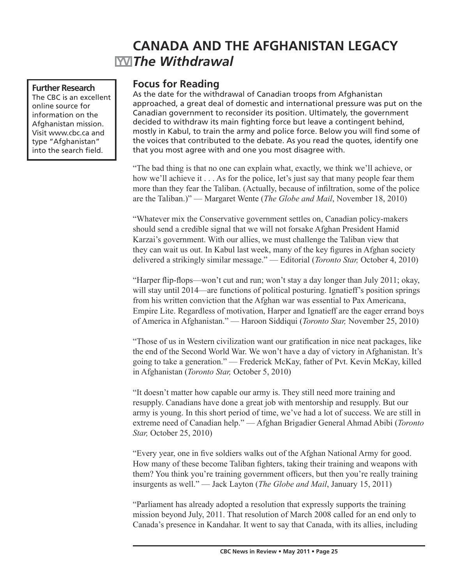# **CANADA AND THE AFGHANISTAN LEGACY** *The Withdrawal*

### **Further Research**

The CBC is an excellent online source for information on the Afghanistan mission. Visit www.cbc.ca and type "Afghanistan" into the search field.

## **Focus for Reading**

As the date for the withdrawal of Canadian troops from Afghanistan approached, a great deal of domestic and international pressure was put on the Canadian government to reconsider its position. Ultimately, the government decided to withdraw its main fighting force but leave a contingent behind, mostly in Kabul, to train the army and police force. Below you will find some of the voices that contributed to the debate. As you read the quotes, identify one that you most agree with and one you most disagree with.

"The bad thing is that no one can explain what, exactly, we think we'll achieve, or how we'll achieve it . . . As for the police, let's just say that many people fear them more than they fear the Taliban. (Actually, because of infiltration, some of the police are the Taliban.)" — Margaret Wente (*The Globe and Mail*, November 18, 2010)

"Whatever mix the Conservative government settles on, Canadian policy-makers should send a credible signal that we will not forsake Afghan President Hamid Karzai's government. With our allies, we must challenge the Taliban view that they can wait us out. In Kabul last week, many of the key figures in Afghan society delivered a strikingly similar message." — Editorial (*Toronto Star,* October 4, 2010)

"Harper flip-flops—won't cut and run; won't stay a day longer than July 2011; okay, will stay until 2014—are functions of political posturing. Ignatieff's position springs from his written conviction that the Afghan war was essential to Pax Americana, Empire Lite. Regardless of motivation, Harper and Ignatieff are the eager errand boys of America in Afghanistan." — Haroon Siddiqui (*Toronto Star,* November 25, 2010)

"Those of us in Western civilization want our gratification in nice neat packages, like the end of the Second World War. We won't have a day of victory in Afghanistan. It's going to take a generation." — Frederick McKay, father of Pvt. Kevin McKay, killed in Afghanistan (*Toronto Star,* October 5, 2010)

"It doesn't matter how capable our army is. They still need more training and resupply. Canadians have done a great job with mentorship and resupply. But our army is young. In this short period of time, we've had a lot of success. We are still in extreme need of Canadian help." — Afghan Brigadier General Ahmad Abibi (*Toronto Star,* October 25, 2010)

"Every year, one in five soldiers walks out of the Afghan National Army for good. How many of these become Taliban fighters, taking their training and weapons with them? You think you're training government officers, but then you're really training insurgents as well." — Jack Layton (*The Globe and Mail*, January 15, 2011)

"Parliament has already adopted a resolution that expressly supports the training mission beyond July, 2011. That resolution of March 2008 called for an end only to Canada's presence in Kandahar. It went to say that Canada, with its allies, including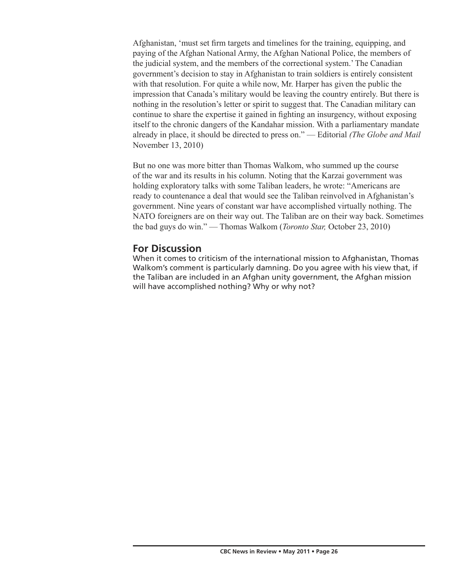Afghanistan, 'must set firm targets and timelines for the training, equipping, and paying of the Afghan National Army, the Afghan National Police, the members of the judicial system, and the members of the correctional system.' The Canadian government's decision to stay in Afghanistan to train soldiers is entirely consistent with that resolution. For quite a while now, Mr. Harper has given the public the impression that Canada's military would be leaving the country entirely. But there is nothing in the resolution's letter or spirit to suggest that. The Canadian military can continue to share the expertise it gained in fighting an insurgency, without exposing itself to the chronic dangers of the Kandahar mission. With a parliamentary mandate already in place, it should be directed to press on." — Editorial *(The Globe and Mail*  November 13, 2010)

But no one was more bitter than Thomas Walkom, who summed up the course of the war and its results in his column. Noting that the Karzai government was holding exploratory talks with some Taliban leaders, he wrote: "Americans are ready to countenance a deal that would see the Taliban reinvolved in Afghanistan's government. Nine years of constant war have accomplished virtually nothing. The NATO foreigners are on their way out. The Taliban are on their way back. Sometimes the bad guys do win." — Thomas Walkom (*Toronto Star,* October 23, 2010)

## **For Discussion**

When it comes to criticism of the international mission to Afghanistan, Thomas Walkom's comment is particularly damning. Do you agree with his view that, if the Taliban are included in an Afghan unity government, the Afghan mission will have accomplished nothing? Why or why not?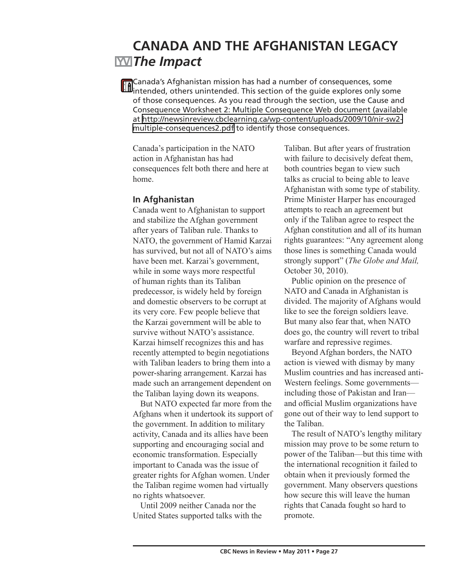## **CANADA AND THE AFGHANISTAN LEGACY** *The Impact*

Canada's Afghanistan mission has had a number of consequences, some intended, others unintended. This section of the guide explores only some of those consequences. As you read through the section, use the Cause and Consequence Worksheet 2: Multiple Consequence Web document (available at [http://newsinreview.cbclearning.ca/wp-content/uploads/2009/10/nir-sw2](http://newsinreview.cbclearning.ca/wp-content/uploads/2009/10/nir-sw2-multiple-consequences2.pdf) [multiple-consequences2.pdf](http://newsinreview.cbclearning.ca/wp-content/uploads/2009/10/nir-sw2-multiple-consequences2.pdf) to identify those consequences.

Canada's participation in the NATO action in Afghanistan has had consequences felt both there and here at home.

## **In Afghanistan**

Canada went to Afghanistan to support and stabilize the Afghan government after years of Taliban rule. Thanks to NATO, the government of Hamid Karzai has survived, but not all of NATO's aims have been met. Karzai's government, while in some ways more respectful of human rights than its Taliban predecessor, is widely held by foreign and domestic observers to be corrupt at its very core. Few people believe that the Karzai government will be able to survive without NATO's assistance. Karzai himself recognizes this and has recently attempted to begin negotiations with Taliban leaders to bring them into a power-sharing arrangement. Karzai has made such an arrangement dependent on the Taliban laying down its weapons.

But NATO expected far more from the Afghans when it undertook its support of the government. In addition to military activity, Canada and its allies have been supporting and encouraging social and economic transformation. Especially important to Canada was the issue of greater rights for Afghan women. Under the Taliban regime women had virtually no rights whatsoever.

Until 2009 neither Canada nor the United States supported talks with the Taliban. But after years of frustration with failure to decisively defeat them, both countries began to view such talks as crucial to being able to leave Afghanistan with some type of stability. Prime Minister Harper has encouraged attempts to reach an agreement but only if the Taliban agree to respect the Afghan constitution and all of its human rights guarantees: "Any agreement along those lines is something Canada would strongly support" (*The Globe and Mail,*  October 30, 2010).

Public opinion on the presence of NATO and Canada in Afghanistan is divided. The majority of Afghans would like to see the foreign soldiers leave. But many also fear that, when NATO does go, the country will revert to tribal warfare and repressive regimes.

Beyond Afghan borders, the NATO action is viewed with dismay by many Muslim countries and has increased anti-Western feelings. Some governments including those of Pakistan and Iran and official Muslim organizations have gone out of their way to lend support to the Taliban.

The result of NATO's lengthy military mission may prove to be some return to power of the Taliban—but this time with the international recognition it failed to obtain when it previously formed the government. Many observers questions how secure this will leave the human rights that Canada fought so hard to promote.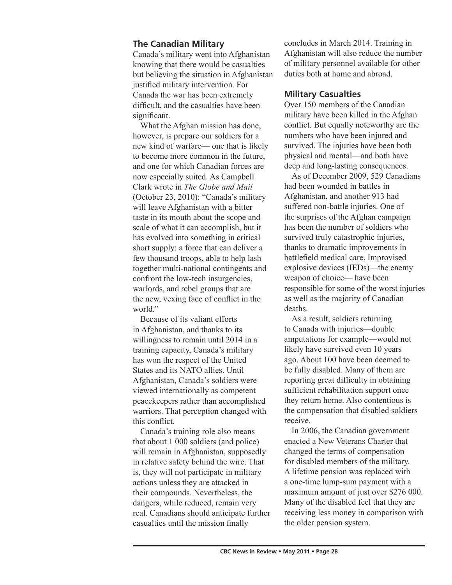### **The Canadian Military**

Canada's military went into Afghanistan knowing that there would be casualties but believing the situation in Afghanistan justified military intervention. For Canada the war has been extremely difficult, and the casualties have been significant.

What the Afghan mission has done, however, is prepare our soldiers for a new kind of warfare— one that is likely to become more common in the future, and one for which Canadian forces are now especially suited. As Campbell Clark wrote in *The Globe and Mail*  (October 23, 2010): "Canada's military will leave Afghanistan with a bitter taste in its mouth about the scope and scale of what it can accomplish, but it has evolved into something in critical short supply: a force that can deliver a few thousand troops, able to help lash together multi-national contingents and confront the low-tech insurgencies, warlords, and rebel groups that are the new, vexing face of conflict in the world<sup>"</sup>

Because of its valiant efforts in Afghanistan, and thanks to its willingness to remain until 2014 in a training capacity, Canada's military has won the respect of the United States and its NATO allies. Until Afghanistan, Canada's soldiers were viewed internationally as competent peacekeepers rather than accomplished warriors. That perception changed with this conflict.

Canada's training role also means that about 1 000 soldiers (and police) will remain in Afghanistan, supposedly in relative safety behind the wire. That is, they will not participate in military actions unless they are attacked in their compounds. Nevertheless, the dangers, while reduced, remain very real. Canadians should anticipate further casualties until the mission finally

concludes in March 2014. Training in Afghanistan will also reduce the number of military personnel available for other duties both at home and abroad.

## **Military Casualties**

Over 150 members of the Canadian military have been killed in the Afghan conflict. But equally noteworthy are the numbers who have been injured and survived. The injuries have been both physical and mental—and both have deep and long-lasting consequences.

As of December 2009, 529 Canadians had been wounded in battles in Afghanistan, and another 913 had suffered non-battle injuries. One of the surprises of the Afghan campaign has been the number of soldiers who survived truly catastrophic injuries, thanks to dramatic improvements in battlefield medical care. Improvised explosive devices (IEDs)—the enemy weapon of choice— have been responsible for some of the worst injuries as well as the majority of Canadian deaths.

As a result, soldiers returning to Canada with injuries—double amputations for example—would not likely have survived even 10 years ago. About 100 have been deemed to be fully disabled. Many of them are reporting great difficulty in obtaining sufficient rehabilitation support once they return home. Also contentious is the compensation that disabled soldiers receive.

In 2006, the Canadian government enacted a New Veterans Charter that changed the terms of compensation for disabled members of the military. A lifetime pension was replaced with a one-time lump-sum payment with a maximum amount of just over \$276 000. Many of the disabled feel that they are receiving less money in comparison with the older pension system.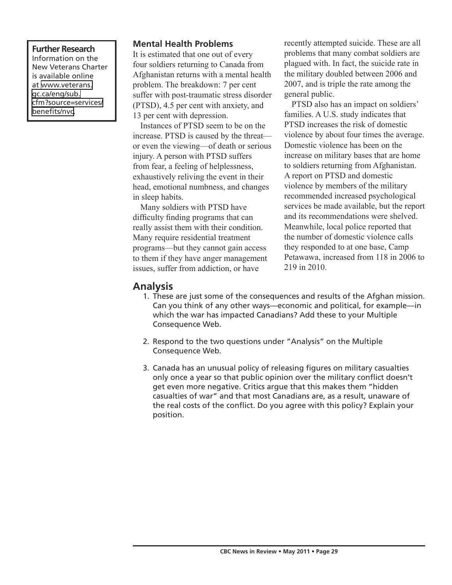**Further Research** Information on the New Veterans Charter is available online at [www.veterans.](http://www.veterans.gc.ca/eng/sub.cfm?source=services/benefits/nvc) [gc.ca/eng/sub.](http://www.veterans.gc.ca/eng/sub.cfm?source=services/benefits/nvc) [cfm?source=services/](http://www.veterans.gc.ca/eng/sub.cfm?source=services/benefits/nvc) [benefits/nvc.](http://www.veterans.gc.ca/eng/sub.cfm?source=services/benefits/nvc)

### **Mental Health Problems**

It is estimated that one out of every four soldiers returning to Canada from Afghanistan returns with a mental health problem. The breakdown: 7 per cent suffer with post-traumatic stress disorder (PTSD), 4.5 per cent with anxiety, and 13 per cent with depression.

Instances of PTSD seem to be on the increase. PTSD is caused by the threat or even the viewing—of death or serious injury. A person with PTSD suffers from fear, a feeling of helplessness, exhaustively reliving the event in their head, emotional numbness, and changes in sleep habits.

Many soldiers with PTSD have difficulty finding programs that can really assist them with their condition. Many require residential treatment programs—but they cannot gain access to them if they have anger management issues, suffer from addiction, or have

recently attempted suicide. These are all problems that many combat soldiers are plagued with. In fact, the suicide rate in the military doubled between 2006 and 2007, and is triple the rate among the general public.

PTSD also has an impact on soldiers' families. A U.S. study indicates that PTSD increases the risk of domestic violence by about four times the average. Domestic violence has been on the increase on military bases that are home to soldiers returning from Afghanistan. A report on PTSD and domestic violence by members of the military recommended increased psychological services be made available, but the report and its recommendations were shelved. Meanwhile, local police reported that the number of domestic violence calls they responded to at one base, Camp Petawawa, increased from 118 in 2006 to 219 in 2010.

## **Analysis**

- 1. These are just some of the consequences and results of the Afghan mission. Can you think of any other ways—economic and political, for example—in which the war has impacted Canadians? Add these to your Multiple Consequence Web.
- 2. Respond to the two questions under "Analysis" on the Multiple Consequence Web.
- 3. Canada has an unusual policy of releasing figures on military casualties only once a year so that public opinion over the military conflict doesn't get even more negative. Critics argue that this makes them "hidden casualties of war" and that most Canadians are, as a result, unaware of the real costs of the conflict. Do you agree with this policy? Explain your position.